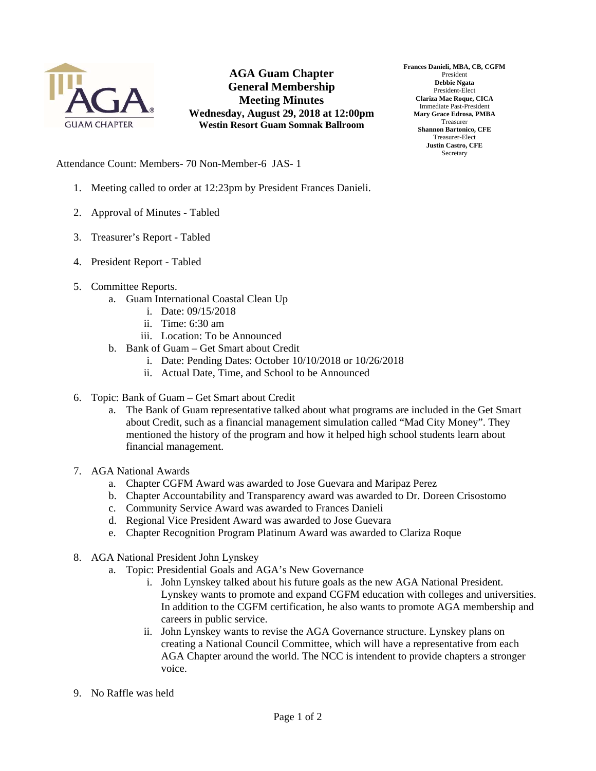

**AGA Guam Chapter General Membership Meeting Minutes Wednesday, August 29, 2018 at 12:00pm Westin Resort Guam Somnak Ballroom** 

**Frances Danieli, MBA, CB, CGFM**  President **Debbie Ngata**  President-Elect **Clariza Mae Roque, CICA**  Immediate Past-President **Mary Grace Edrosa, PMBA**  Treasurer **Shannon Bartonico, CFE**  Treasurer-Elect **Justin Castro, CFE Secretary** 

Attendance Count: Members- 70 Non-Member-6 JAS- 1

- 1. Meeting called to order at 12:23pm by President Frances Danieli.
- 2. Approval of Minutes Tabled
- 3. Treasurer's Report Tabled
- 4. President Report Tabled
- 5. Committee Reports.
	- a. Guam International Coastal Clean Up
		- i. Date: 09/15/2018
		- ii. Time: 6:30 am
		- iii. Location: To be Announced
	- b. Bank of Guam Get Smart about Credit
		- i. Date: Pending Dates: October 10/10/2018 or 10/26/2018
		- ii. Actual Date, Time, and School to be Announced
- 6. Topic: Bank of Guam Get Smart about Credit
	- a. The Bank of Guam representative talked about what programs are included in the Get Smart about Credit, such as a financial management simulation called "Mad City Money". They mentioned the history of the program and how it helped high school students learn about financial management.
- 7. AGA National Awards
	- a. Chapter CGFM Award was awarded to Jose Guevara and Maripaz Perez
	- b. Chapter Accountability and Transparency award was awarded to Dr. Doreen Crisostomo
	- c. Community Service Award was awarded to Frances Danieli
	- d. Regional Vice President Award was awarded to Jose Guevara
	- e. Chapter Recognition Program Platinum Award was awarded to Clariza Roque
- 8. AGA National President John Lynskey
	- a. Topic: Presidential Goals and AGA's New Governance
		- i. John Lynskey talked about his future goals as the new AGA National President. Lynskey wants to promote and expand CGFM education with colleges and universities. In addition to the CGFM certification, he also wants to promote AGA membership and careers in public service.
		- ii. John Lynskey wants to revise the AGA Governance structure. Lynskey plans on creating a National Council Committee, which will have a representative from each AGA Chapter around the world. The NCC is intendent to provide chapters a stronger voice.
- 9. No Raffle was held